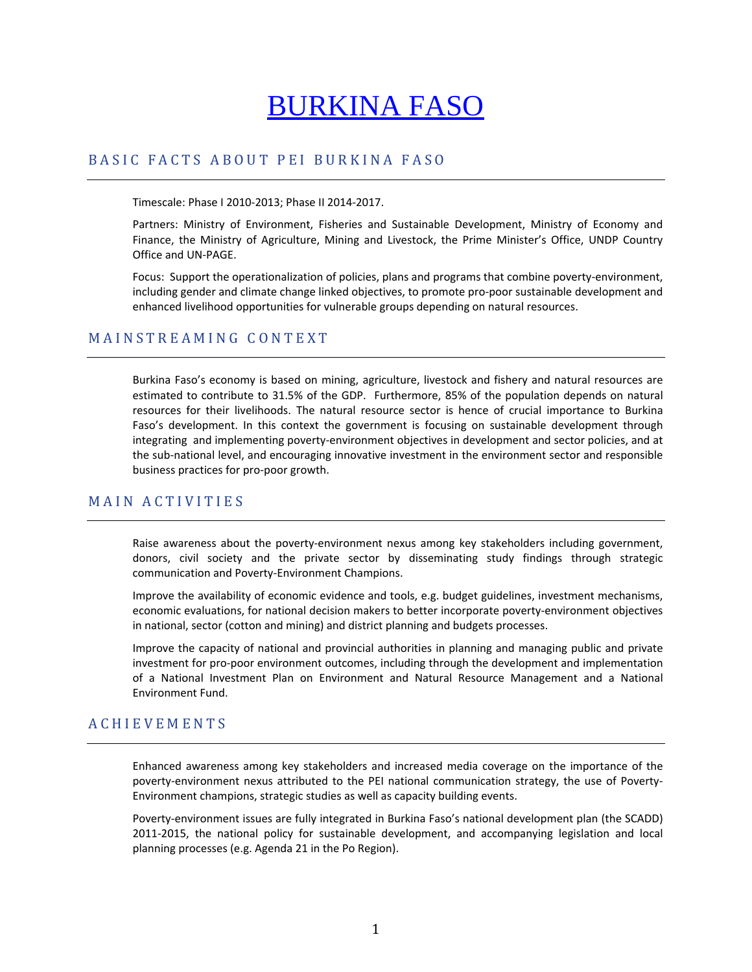# BURKINA FASO

## BASIC FACTS ABOUT PEI BURKINA FASO

Timescale: Phase I 2010‐2013; Phase II 2014‐2017.

Partners: Ministry of Environment, Fisheries and Sustainable Development, Ministry of Economy and Finance, the Ministry of Agriculture, Mining and Livestock, the Prime Minister's Office, UNDP Country Office and UN‐PAGE.

Focus: Support the operationalization of policies, plans and programs that combine poverty-environment, including gender and climate change linked objectives, to promote pro-poor sustainable development and enhanced livelihood opportunities for vulnerable groups depending on natural resources.

## MAINSTREAMING CONTEXT

Burkina Faso's economy is based on mining, agriculture, livestock and fishery and natural resources are estimated to contribute to 31.5% of the GDP. Furthermore, 85% of the population depends on natural resources for their livelihoods. The natural resource sector is hence of crucial importance to Burkina Faso's development. In this context the government is focusing on sustainable development through integrating and implementing poverty‐environment objectives in development and sector policies, and at the sub‐national level, and encouraging innovative investment in the environment sector and responsible business practices for pro‐poor growth.

# MAIN ACTIVITIES

Raise awareness about the poverty‐environment nexus among key stakeholders including government, donors, civil society and the private sector by disseminating study findings through strategic communication and Poverty‐Environment Champions.

Improve the availability of economic evidence and tools, e.g. budget guidelines, investment mechanisms, economic evaluations, for national decision makers to better incorporate poverty-environment objectives in national, sector (cotton and mining) and district planning and budgets processes.

Improve the capacity of national and provincial authorities in planning and managing public and private investment for pro‐poor environment outcomes, including through the development and implementation of a National Investment Plan on Environment and Natural Resource Management and a National Environment Fund.

# ACHIEVEMENTS

Enhanced awareness among key stakeholders and increased media coverage on the importance of the poverty-environment nexus attributed to the PEI national communication strategy, the use of Poverty-Environment champions, strategic studies as well as capacity building events.

Poverty‐environment issues are fully integrated in Burkina Faso's national development plan (the SCADD) 2011-2015, the national policy for sustainable development, and accompanying legislation and local planning processes (e.g. Agenda 21 in the Po Region).